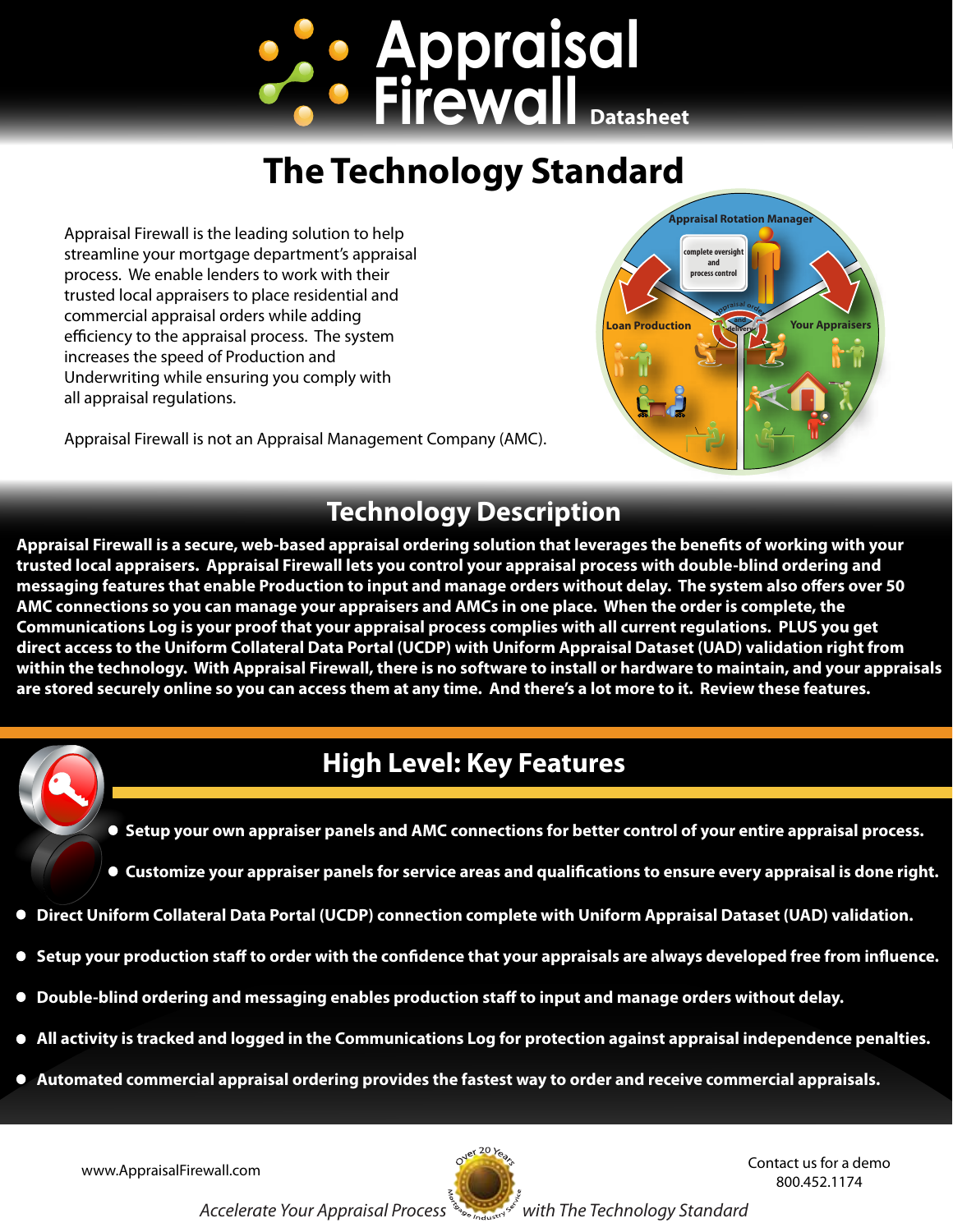

# **The Technology Standard**

Appraisal Firewall is the leading solution to help streamline your mortgage department's appraisal process. We enable lenders to work with their trusted local appraisers to place residential and commercial appraisal orders while adding efficiency to the appraisal process. The system increases the speed of Production and Underwriting while ensuring you comply with all appraisal regulations.

**Appraisal Rotation Manager Your Apprais complete oversight and process control and delivery**

Appraisal Firewall is not an Appraisal Management Company (AMC).

#### **Technology Description**

**Appraisal Firewall is a secure, web-based appraisal ordering solution that leverages the benets of working with your trusted local appraisers. Appraisal Firewall lets you control your appraisal process with double-blind ordering and**  messaging features that enable Production to input and manage orders without delay. The system also offers over 50 **AMC connections so you can manage your appraisers and AMCs in one place. When the order is complete, the Communications Log is your proof that your appraisal process complies with all current regulations. PLUS you get direct access to the Uniform Collateral Data Portal (UCDP) with Uniform Appraisal Dataset (UAD) validation right from within the technology. With Appraisal Firewall, there is no software to install or hardware to maintain, and your appraisals are stored securely online so you can access them at any time. And there's a lot more to it. Review these features.**

## **High Level: Key Features**

- **Setup your own appraiser panels and AMC connections for better control of your entire appraisal process.**
- **Customize your appraiser panels for service areas and qualifications to ensure every appraisal is done right.**
- **Direct Uniform Collateral Data Portal (UCDP) connection complete with Uniform Appraisal Dataset (UAD) validation.**
- Setup your production staff to order with the confidence that your appraisals are always developed free from influence.
- **Double-blind ordering and messaging enables production staff to input and manage orders without delay.**
- **All activity is tracked and logged in the Communications Log for protection against appraisal independence penalties.**
- **Automated commercial appraisal ordering provides the fastest way to order and receive commercial appraisals.**



www.AppraisalFirewall.com and the contact us for a demo 800.452.1174

Accelerate Your Appraisal Process *industry with The Technology Standard*